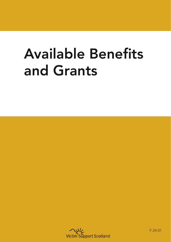## Available Benefits and Grants



F-24-01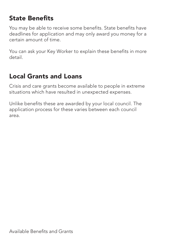## State Benefits

You may be able to receive some benefits. State benefits have deadlines for application and may only award you money for a certain amount of time.

You can ask your Key Worker to explain these benefits in more detail.

## Local Grants and Loans

Crisis and care grants become available to people in extreme situations which have resulted in unexpected expenses.

Unlike benefits these are awarded by your local council. The application process for these varies between each council area.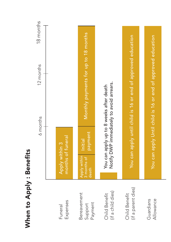